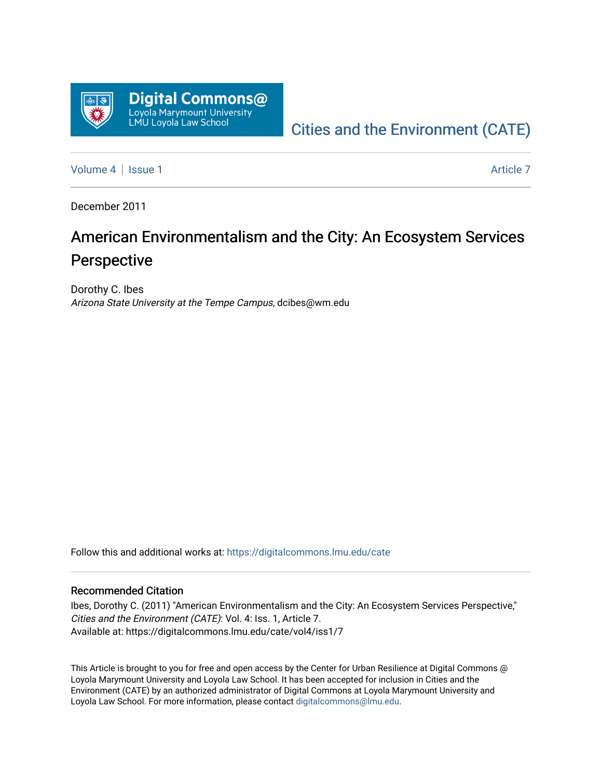

# [Cities and the Environment \(CATE\)](https://digitalcommons.lmu.edu/cate)

[Volume 4](https://digitalcommons.lmu.edu/cate/vol4) | [Issue 1](https://digitalcommons.lmu.edu/cate/vol4/iss1) Article 7

December 2011

# American Environmentalism and the City: An Ecosystem Services Perspective

Dorothy C. Ibes Arizona State University at the Tempe Campus, dcibes@wm.edu

Follow this and additional works at: [https://digitalcommons.lmu.edu/cate](https://digitalcommons.lmu.edu/cate?utm_source=digitalcommons.lmu.edu%2Fcate%2Fvol4%2Fiss1%2F7&utm_medium=PDF&utm_campaign=PDFCoverPages) 

#### Recommended Citation

Ibes, Dorothy C. (2011) "American Environmentalism and the City: An Ecosystem Services Perspective," Cities and the Environment (CATE): Vol. 4: Iss. 1, Article 7. Available at: https://digitalcommons.lmu.edu/cate/vol4/iss1/7

This Article is brought to you for free and open access by the Center for Urban Resilience at Digital Commons @ Loyola Marymount University and Loyola Law School. It has been accepted for inclusion in Cities and the Environment (CATE) by an authorized administrator of Digital Commons at Loyola Marymount University and Loyola Law School. For more information, please contact [digitalcommons@lmu.edu](mailto:digitalcommons@lmu.edu).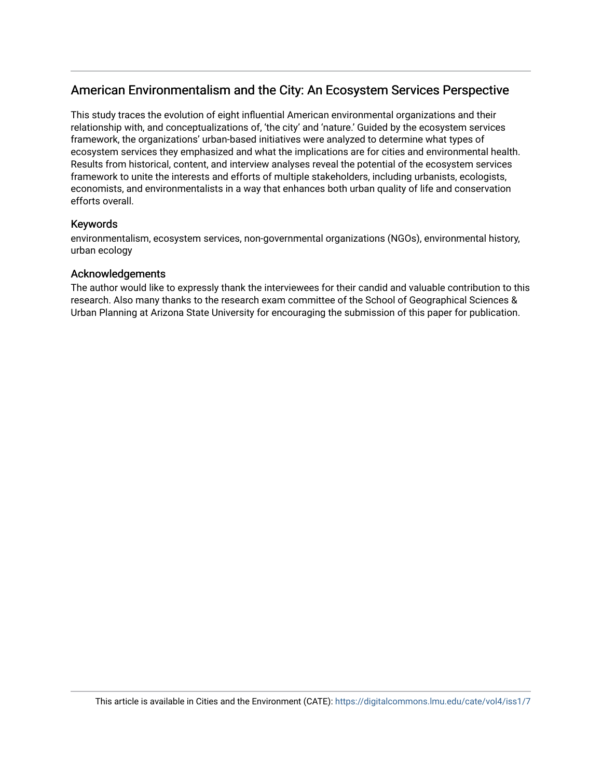# American Environmentalism and the City: An Ecosystem Services Perspective

This study traces the evolution of eight influential American environmental organizations and their relationship with, and conceptualizations of, 'the city' and 'nature.' Guided by the ecosystem services framework, the organizations' urban-based initiatives were analyzed to determine what types of ecosystem services they emphasized and what the implications are for cities and environmental health. Results from historical, content, and interview analyses reveal the potential of the ecosystem services framework to unite the interests and efforts of multiple stakeholders, including urbanists, ecologists, economists, and environmentalists in a way that enhances both urban quality of life and conservation efforts overall.

# Keywords

environmentalism, ecosystem services, non-governmental organizations (NGOs), environmental history, urban ecology

# Acknowledgements

The author would like to expressly thank the interviewees for their candid and valuable contribution to this research. Also many thanks to the research exam committee of the School of Geographical Sciences & Urban Planning at Arizona State University for encouraging the submission of this paper for publication.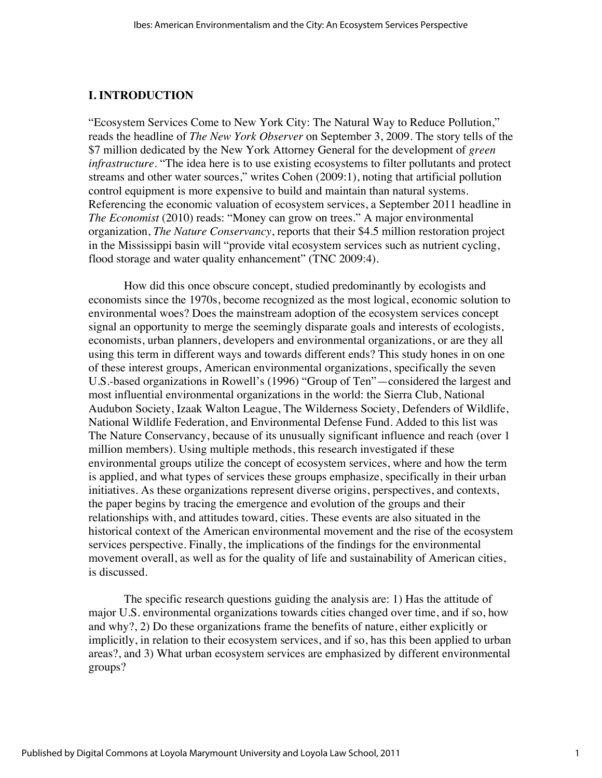#### **I. INTRODUCTION**

"Ecosystem Services Come to New York City: The Natural Way to Reduce Pollution," reads the headline of *The New York Observer* on September 3, 2009. The story tells of the \$7 million dedicated by the New York Attorney General for the development of *green infrastructure*. "The idea here is to use existing ecosystems to filter pollutants and protect streams and other water sources," writes Cohen (2009:1), noting that artificial pollution control equipment is more expensive to build and maintain than natural systems. Referencing the economic valuation of ecosystem services, a September 2011 headline in *The Economist* (2010) reads: "Money can grow on trees." A major environmental organization, *The Nature Conservancy*, reports that their \$4.5 million restoration project in the Mississippi basin will "provide vital ecosystem services such as nutrient cycling, flood storage and water quality enhancement" (TNC 2009:4).

How did this once obscure concept, studied predominantly by ecologists and economists since the 1970s, become recognized as the most logical, economic solution to environmental woes? Does the mainstream adoption of the ecosystem services concept signal an opportunity to merge the seemingly disparate goals and interests of ecologists, economists, urban planners, developers and environmental organizations, or are they all using this term in different ways and towards different ends? This study hones in on one of these interest groups, American environmental organizations, specifically the seven U.S.-based organizations in Rowell's (1996) "Group of Ten"—considered the largest and most influential environmental organizations in the world: the Sierra Club, National Audubon Society, Izaak Walton League, The Wilderness Society, Defenders of Wildlife, National Wildlife Federation, and Environmental Defense Fund. Added to this list was The Nature Conservancy, because of its unusually significant influence and reach (over 1 million members). Using multiple methods, this research investigated if these environmental groups utilize the concept of ecosystem services, where and how the term is applied, and what types of services these groups emphasize, specifically in their urban initiatives. As these organizations represent diverse origins, perspectives, and contexts, the paper begins by tracing the emergence and evolution of the groups and their relationships with, and attitudes toward, cities. These events are also situated in the historical context of the American environmental movement and the rise of the ecosystem services perspective. Finally, the implications of the findings for the environmental movement overall, as well as for the quality of life and sustainability of American cities, is discussed.

The specific research questions guiding the analysis are: 1) Has the attitude of major U.S. environmental organizations towards cities changed over time, and if so, how and why?, 2) Do these organizations frame the benefits of nature, either explicitly or implicitly, in relation to their ecosystem services, and if so, has this been applied to urban areas?, and 3) What urban ecosystem services are emphasized by different environmental groups?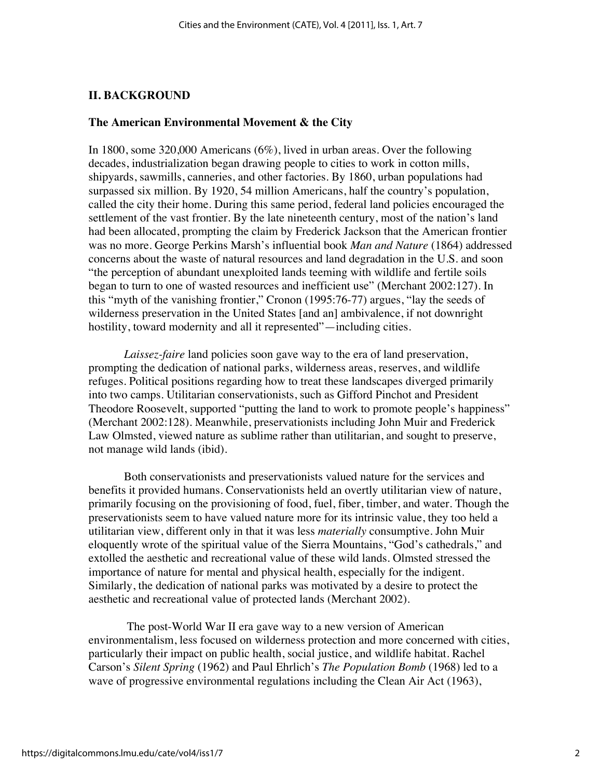#### **II. BACKGROUND**

#### **The American Environmental Movement & the City**

In 1800, some 320,000 Americans (6%), lived in urban areas. Over the following decades, industrialization began drawing people to cities to work in cotton mills, shipyards, sawmills, canneries, and other factories. By 1860, urban populations had surpassed six million. By 1920, 54 million Americans, half the country's population, called the city their home. During this same period, federal land policies encouraged the settlement of the vast frontier. By the late nineteenth century, most of the nation's land had been allocated, prompting the claim by Frederick Jackson that the American frontier was no more. George Perkins Marsh's influential book *Man and Nature* (1864) addressed concerns about the waste of natural resources and land degradation in the U.S. and soon "the perception of abundant unexploited lands teeming with wildlife and fertile soils began to turn to one of wasted resources and inefficient use" (Merchant 2002:127). In this "myth of the vanishing frontier," Cronon (1995:76-77) argues, "lay the seeds of wilderness preservation in the United States [and an] ambivalence, if not downright hostility, toward modernity and all it represented"—including cities.

*Laissez-faire* land policies soon gave way to the era of land preservation, prompting the dedication of national parks, wilderness areas, reserves, and wildlife refuges. Political positions regarding how to treat these landscapes diverged primarily into two camps. Utilitarian conservationists, such as Gifford Pinchot and President Theodore Roosevelt, supported "putting the land to work to promote people's happiness" (Merchant 2002:128). Meanwhile, preservationists including John Muir and Frederick Law Olmsted, viewed nature as sublime rather than utilitarian, and sought to preserve, not manage wild lands (ibid).

Both conservationists and preservationists valued nature for the services and benefits it provided humans. Conservationists held an overtly utilitarian view of nature, primarily focusing on the provisioning of food, fuel, fiber, timber, and water. Though the preservationists seem to have valued nature more for its intrinsic value, they too held a utilitarian view, different only in that it was less *materially* consumptive. John Muir eloquently wrote of the spiritual value of the Sierra Mountains, "God's cathedrals," and extolled the aesthetic and recreational value of these wild lands. Olmsted stressed the importance of nature for mental and physical health, especially for the indigent. Similarly, the dedication of national parks was motivated by a desire to protect the aesthetic and recreational value of protected lands (Merchant 2002).

The post-World War II era gave way to a new version of American environmentalism, less focused on wilderness protection and more concerned with cities, particularly their impact on public health, social justice, and wildlife habitat. Rachel Carson's *Silent Spring* (1962) and Paul Ehrlich's *The Population Bomb* (1968) led to a wave of progressive environmental regulations including the Clean Air Act (1963),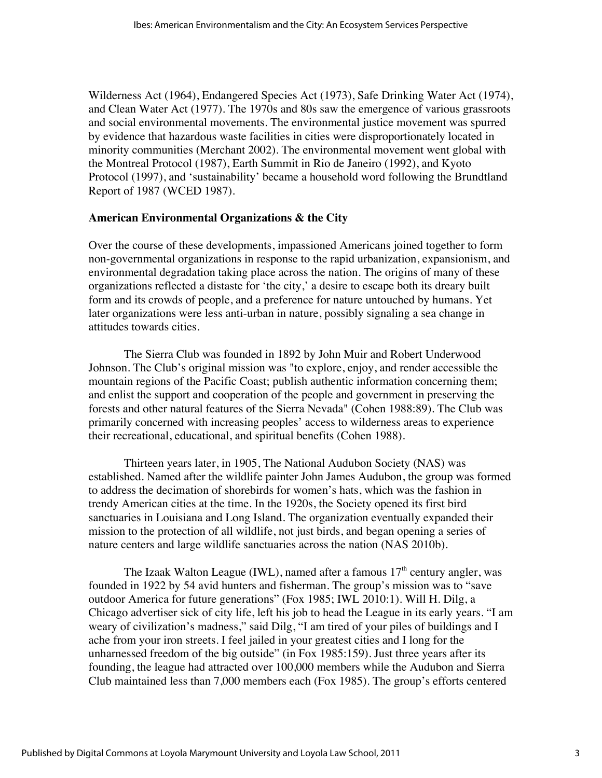Wilderness Act (1964), Endangered Species Act (1973), Safe Drinking Water Act (1974), and Clean Water Act (1977). The 1970s and 80s saw the emergence of various grassroots and social environmental movements. The environmental justice movement was spurred by evidence that hazardous waste facilities in cities were disproportionately located in minority communities (Merchant 2002). The environmental movement went global with the Montreal Protocol (1987), Earth Summit in Rio de Janeiro (1992), and Kyoto Protocol (1997), and 'sustainability' became a household word following the Brundtland Report of 1987 (WCED 1987).

#### **American Environmental Organizations & the City**

Over the course of these developments, impassioned Americans joined together to form non-governmental organizations in response to the rapid urbanization, expansionism, and environmental degradation taking place across the nation. The origins of many of these organizations reflected a distaste for 'the city,' a desire to escape both its dreary built form and its crowds of people, and a preference for nature untouched by humans. Yet later organizations were less anti-urban in nature, possibly signaling a sea change in attitudes towards cities.

The Sierra Club was founded in 1892 by John Muir and Robert Underwood Johnson. The Club's original mission was "to explore, enjoy, and render accessible the mountain regions of the Pacific Coast; publish authentic information concerning them; and enlist the support and cooperation of the people and government in preserving the forests and other natural features of the Sierra Nevada" (Cohen 1988:89). The Club was primarily concerned with increasing peoples' access to wilderness areas to experience their recreational, educational, and spiritual benefits (Cohen 1988).

Thirteen years later, in 1905, The National Audubon Society (NAS) was established. Named after the wildlife painter John James Audubon, the group was formed to address the decimation of shorebirds for women's hats, which was the fashion in trendy American cities at the time. In the 1920s, the Society opened its first bird sanctuaries in Louisiana and Long Island. The organization eventually expanded their mission to the protection of all wildlife, not just birds, and began opening a series of nature centers and large wildlife sanctuaries across the nation (NAS 2010b).

The Izaak Walton League (IWL), named after a famous  $17<sup>th</sup>$  century angler, was founded in 1922 by 54 avid hunters and fisherman. The group's mission was to "save outdoor America for future generations" (Fox 1985; IWL 2010:1). Will H. Dilg, a Chicago advertiser sick of city life, left his job to head the League in its early years. "I am weary of civilization's madness," said Dilg, "I am tired of your piles of buildings and I ache from your iron streets. I feel jailed in your greatest cities and I long for the unharnessed freedom of the big outside" (in Fox 1985:159). Just three years after its founding, the league had attracted over 100,000 members while the Audubon and Sierra Club maintained less than 7,000 members each (Fox 1985). The group's efforts centered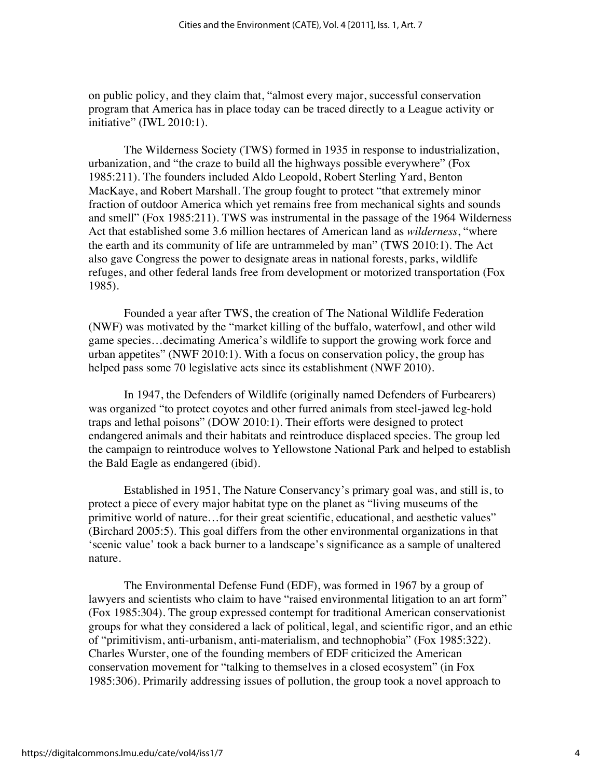on public policy, and they claim that, "almost every major, successful conservation program that America has in place today can be traced directly to a League activity or initiative" (IWL 2010:1).

The Wilderness Society (TWS) formed in 1935 in response to industrialization, urbanization, and "the craze to build all the highways possible everywhere" (Fox 1985:211). The founders included Aldo Leopold, Robert Sterling Yard, Benton MacKaye, and Robert Marshall. The group fought to protect "that extremely minor fraction of outdoor America which yet remains free from mechanical sights and sounds and smell" (Fox 1985:211). TWS was instrumental in the passage of the 1964 Wilderness Act that established some 3.6 million hectares of American land as *wilderness*, "where the earth and its community of life are untrammeled by man" (TWS 2010:1). The Act also gave Congress the power to designate areas in national forests, parks, wildlife refuges, and other federal lands free from development or motorized transportation (Fox 1985).

Founded a year after TWS, the creation of The National Wildlife Federation (NWF) was motivated by the "market killing of the buffalo, waterfowl, and other wild game species…decimating America's wildlife to support the growing work force and urban appetites" (NWF 2010:1). With a focus on conservation policy, the group has helped pass some 70 legislative acts since its establishment (NWF 2010).

In 1947, the Defenders of Wildlife (originally named Defenders of Furbearers) was organized "to protect coyotes and other furred animals from steel-jawed leg-hold traps and lethal poisons" (DOW 2010:1). Their efforts were designed to protect endangered animals and their habitats and reintroduce displaced species. The group led the campaign to reintroduce wolves to Yellowstone National Park and helped to establish the Bald Eagle as endangered (ibid).

Established in 1951, The Nature Conservancy's primary goal was, and still is, to protect a piece of every major habitat type on the planet as "living museums of the primitive world of nature…for their great scientific, educational, and aesthetic values" (Birchard 2005:5). This goal differs from the other environmental organizations in that 'scenic value' took a back burner to a landscape's significance as a sample of unaltered nature.

The Environmental Defense Fund (EDF), was formed in 1967 by a group of lawyers and scientists who claim to have "raised environmental litigation to an art form" (Fox 1985:304). The group expressed contempt for traditional American conservationist groups for what they considered a lack of political, legal, and scientific rigor, and an ethic of "primitivism, anti-urbanism, anti-materialism, and technophobia" (Fox 1985:322). Charles Wurster, one of the founding members of EDF criticized the American conservation movement for "talking to themselves in a closed ecosystem" (in Fox 1985:306). Primarily addressing issues of pollution, the group took a novel approach to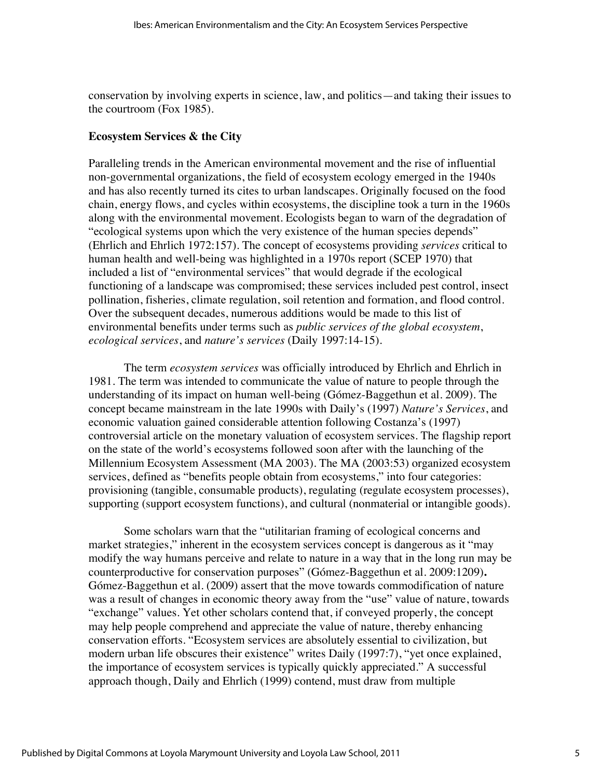conservation by involving experts in science, law, and politics—and taking their issues to the courtroom (Fox 1985).

#### **Ecosystem Services & the City**

Paralleling trends in the American environmental movement and the rise of influential non-governmental organizations, the field of ecosystem ecology emerged in the 1940s and has also recently turned its cites to urban landscapes. Originally focused on the food chain, energy flows, and cycles within ecosystems, the discipline took a turn in the 1960s along with the environmental movement. Ecologists began to warn of the degradation of "ecological systems upon which the very existence of the human species depends" (Ehrlich and Ehrlich 1972:157). The concept of ecosystems providing *services* critical to human health and well-being was highlighted in a 1970s report (SCEP 1970) that included a list of "environmental services" that would degrade if the ecological functioning of a landscape was compromised; these services included pest control, insect pollination, fisheries, climate regulation, soil retention and formation, and flood control. Over the subsequent decades, numerous additions would be made to this list of environmental benefits under terms such as *public services of the global ecosystem*, *ecological services*, and *nature's services* (Daily 1997:14-15).

The term *ecosystem services* was officially introduced by Ehrlich and Ehrlich in 1981. The term was intended to communicate the value of nature to people through the understanding of its impact on human well-being (Gómez-Baggethun et al. 2009). The concept became mainstream in the late 1990s with Daily's (1997) *Nature's Services*, and economic valuation gained considerable attention following Costanza's (1997) controversial article on the monetary valuation of ecosystem services. The flagship report on the state of the world's ecosystems followed soon after with the launching of the Millennium Ecosystem Assessment (MA 2003). The MA (2003:53) organized ecosystem services, defined as "benefits people obtain from ecosystems," into four categories: provisioning (tangible, consumable products), regulating (regulate ecosystem processes), supporting (support ecosystem functions), and cultural (nonmaterial or intangible goods).

Some scholars warn that the "utilitarian framing of ecological concerns and market strategies," inherent in the ecosystem services concept is dangerous as it "may modify the way humans perceive and relate to nature in a way that in the long run may be counterproductive for conservation purposes" (Gómez-Baggethun et al. 2009:1209)**.**  Gómez-Baggethun et al. (2009) assert that the move towards commodification of nature was a result of changes in economic theory away from the "use" value of nature, towards "exchange" values. Yet other scholars contend that, if conveyed properly, the concept may help people comprehend and appreciate the value of nature, thereby enhancing conservation efforts. "Ecosystem services are absolutely essential to civilization, but modern urban life obscures their existence" writes Daily (1997:7), "yet once explained, the importance of ecosystem services is typically quickly appreciated." A successful approach though, Daily and Ehrlich (1999) contend, must draw from multiple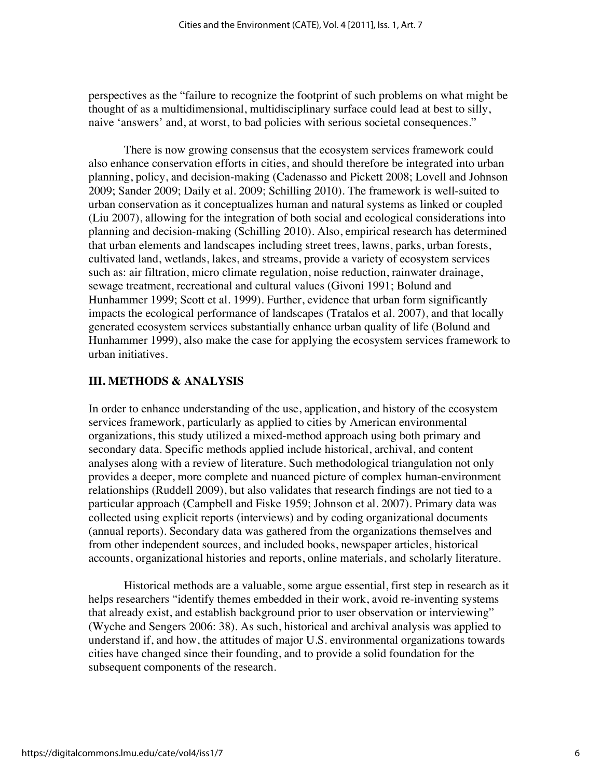perspectives as the "failure to recognize the footprint of such problems on what might be thought of as a multidimensional, multidisciplinary surface could lead at best to silly, naive 'answers' and, at worst, to bad policies with serious societal consequences."

There is now growing consensus that the ecosystem services framework could also enhance conservation efforts in cities, and should therefore be integrated into urban planning, policy, and decision-making (Cadenasso and Pickett 2008; Lovell and Johnson 2009; Sander 2009; Daily et al. 2009; Schilling 2010). The framework is well-suited to urban conservation as it conceptualizes human and natural systems as linked or coupled (Liu 2007), allowing for the integration of both social and ecological considerations into planning and decision-making (Schilling 2010). Also, empirical research has determined that urban elements and landscapes including street trees, lawns, parks, urban forests, cultivated land, wetlands, lakes, and streams, provide a variety of ecosystem services such as: air filtration, micro climate regulation, noise reduction, rainwater drainage, sewage treatment, recreational and cultural values (Givoni 1991; Bolund and Hunhammer 1999; Scott et al. 1999). Further, evidence that urban form significantly impacts the ecological performance of landscapes (Tratalos et al. 2007), and that locally generated ecosystem services substantially enhance urban quality of life (Bolund and Hunhammer 1999), also make the case for applying the ecosystem services framework to urban initiatives.

# **III. METHODS & ANALYSIS**

In order to enhance understanding of the use, application, and history of the ecosystem services framework, particularly as applied to cities by American environmental organizations, this study utilized a mixed-method approach using both primary and secondary data. Specific methods applied include historical, archival, and content analyses along with a review of literature. Such methodological triangulation not only provides a deeper, more complete and nuanced picture of complex human-environment relationships (Ruddell 2009), but also validates that research findings are not tied to a particular approach (Campbell and Fiske 1959; Johnson et al. 2007). Primary data was collected using explicit reports (interviews) and by coding organizational documents (annual reports). Secondary data was gathered from the organizations themselves and from other independent sources, and included books, newspaper articles, historical accounts, organizational histories and reports, online materials, and scholarly literature.

Historical methods are a valuable, some argue essential, first step in research as it helps researchers "identify themes embedded in their work, avoid re-inventing systems that already exist, and establish background prior to user observation or interviewing" (Wyche and Sengers 2006: 38). As such, historical and archival analysis was applied to understand if, and how, the attitudes of major U.S. environmental organizations towards cities have changed since their founding, and to provide a solid foundation for the subsequent components of the research.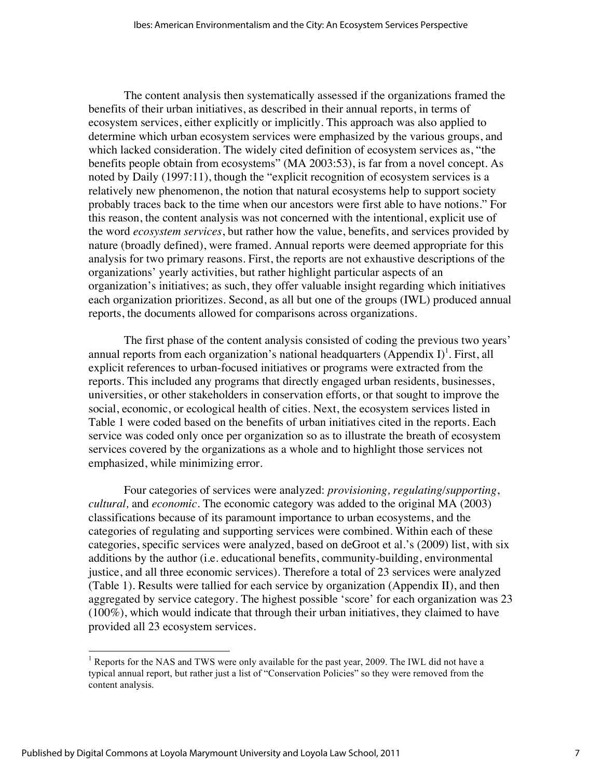The content analysis then systematically assessed if the organizations framed the benefits of their urban initiatives, as described in their annual reports, in terms of ecosystem services, either explicitly or implicitly. This approach was also applied to determine which urban ecosystem services were emphasized by the various groups, and which lacked consideration. The widely cited definition of ecosystem services as, "the benefits people obtain from ecosystems" (MA 2003:53), is far from a novel concept. As noted by Daily (1997:11), though the "explicit recognition of ecosystem services is a relatively new phenomenon, the notion that natural ecosystems help to support society probably traces back to the time when our ancestors were first able to have notions." For this reason, the content analysis was not concerned with the intentional, explicit use of the word *ecosystem services*, but rather how the value, benefits, and services provided by nature (broadly defined), were framed. Annual reports were deemed appropriate for this analysis for two primary reasons. First, the reports are not exhaustive descriptions of the organizations' yearly activities, but rather highlight particular aspects of an organization's initiatives; as such, they offer valuable insight regarding which initiatives each organization prioritizes. Second, as all but one of the groups (IWL) produced annual reports, the documents allowed for comparisons across organizations.

The first phase of the content analysis consisted of coding the previous two years' annual reports from each organization's national headquarters (Appendix I)<sup>1</sup>. First, all explicit references to urban-focused initiatives or programs were extracted from the reports. This included any programs that directly engaged urban residents, businesses, universities, or other stakeholders in conservation efforts, or that sought to improve the social, economic, or ecological health of cities. Next, the ecosystem services listed in Table 1 were coded based on the benefits of urban initiatives cited in the reports. Each service was coded only once per organization so as to illustrate the breath of ecosystem services covered by the organizations as a whole and to highlight those services not emphasized, while minimizing error.

Four categories of services were analyzed: *provisioning, regulating/supporting*, *cultural,* and *economic.* The economic category was added to the original MA (2003) classifications because of its paramount importance to urban ecosystems, and the categories of regulating and supporting services were combined. Within each of these categories, specific services were analyzed, based on deGroot et al.'s (2009) list, with six additions by the author (i.e. educational benefits, community-building, environmental justice, and all three economic services). Therefore a total of 23 services were analyzed (Table 1). Results were tallied for each service by organization (Appendix II), and then aggregated by service category. The highest possible 'score' for each organization was 23 (100%), which would indicate that through their urban initiatives, they claimed to have provided all 23 ecosystem services.

<sup>&</sup>lt;sup>1</sup> Reports for the NAS and TWS were only available for the past year, 2009. The IWL did not have a typical annual report, but rather just a list of "Conservation Policies" so they were removed from the content analysis.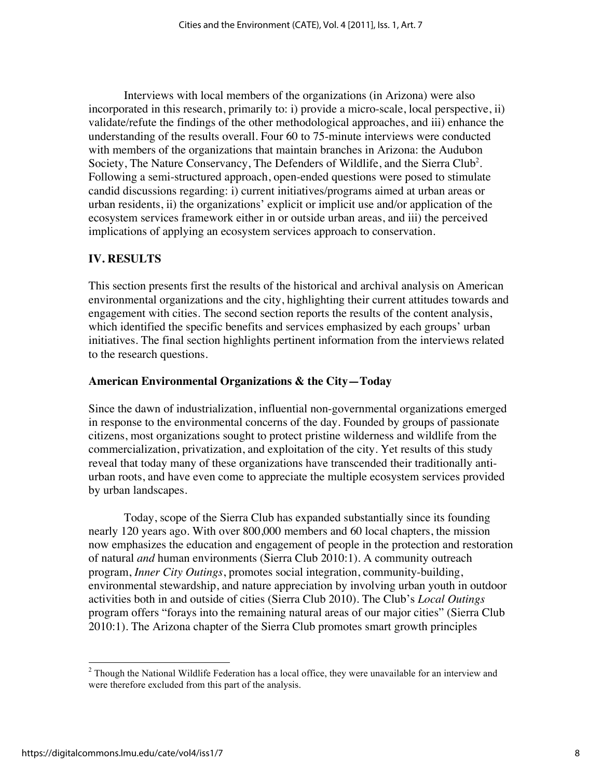Interviews with local members of the organizations (in Arizona) were also incorporated in this research, primarily to: i) provide a micro-scale, local perspective, ii) validate/refute the findings of the other methodological approaches, and iii) enhance the understanding of the results overall. Four 60 to 75-minute interviews were conducted with members of the organizations that maintain branches in Arizona: the Audubon Society, The Nature Conservancy, The Defenders of Wildlife, and the Sierra Club<sup>2</sup>. Following a semi-structured approach, open-ended questions were posed to stimulate candid discussions regarding: i) current initiatives/programs aimed at urban areas or urban residents, ii) the organizations' explicit or implicit use and/or application of the ecosystem services framework either in or outside urban areas, and iii) the perceived implications of applying an ecosystem services approach to conservation.

# **IV. RESULTS**

This section presents first the results of the historical and archival analysis on American environmental organizations and the city, highlighting their current attitudes towards and engagement with cities. The second section reports the results of the content analysis, which identified the specific benefits and services emphasized by each groups' urban initiatives. The final section highlights pertinent information from the interviews related to the research questions.

# **American Environmental Organizations & the City—Today**

Since the dawn of industrialization, influential non-governmental organizations emerged in response to the environmental concerns of the day. Founded by groups of passionate citizens, most organizations sought to protect pristine wilderness and wildlife from the commercialization, privatization, and exploitation of the city. Yet results of this study reveal that today many of these organizations have transcended their traditionally antiurban roots, and have even come to appreciate the multiple ecosystem services provided by urban landscapes.

Today, scope of the Sierra Club has expanded substantially since its founding nearly 120 years ago. With over 800,000 members and 60 local chapters, the mission now emphasizes the education and engagement of people in the protection and restoration of natural *and* human environments (Sierra Club 2010:1). A community outreach program, *Inner City Outings*, promotes social integration, community-building, environmental stewardship, and nature appreciation by involving urban youth in outdoor activities both in and outside of cities (Sierra Club 2010). The Club's *Local Outings* program offers "forays into the remaining natural areas of our major cities" (Sierra Club 2010:1). The Arizona chapter of the Sierra Club promotes smart growth principles

 $<sup>2</sup>$  Though the National Wildlife Federation has a local office, they were unavailable for an interview and</sup> were therefore excluded from this part of the analysis.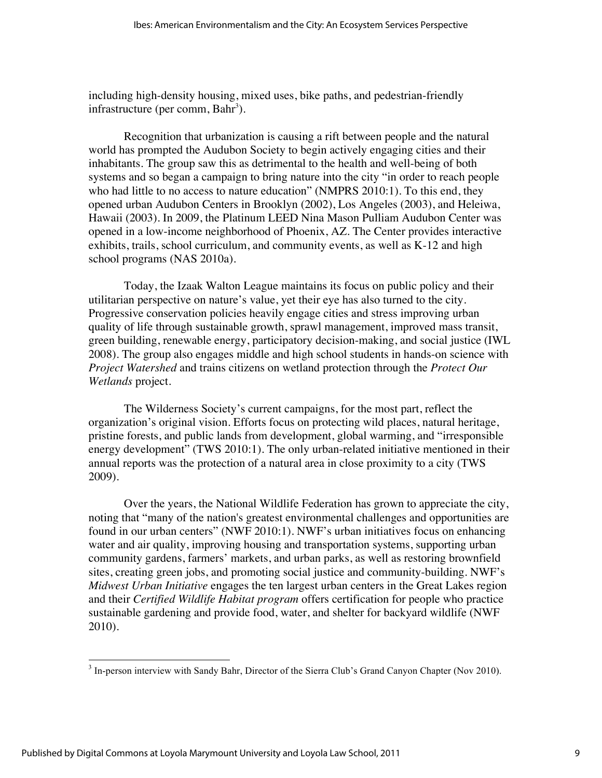including high-density housing, mixed uses, bike paths, and pedestrian-friendly infrastructure (per comm, Bahr<sup>3</sup>).

Recognition that urbanization is causing a rift between people and the natural world has prompted the Audubon Society to begin actively engaging cities and their inhabitants. The group saw this as detrimental to the health and well-being of both systems and so began a campaign to bring nature into the city "in order to reach people who had little to no access to nature education" (NMPRS 2010:1). To this end, they opened urban Audubon Centers in Brooklyn (2002), Los Angeles (2003), and Heleiwa, Hawaii (2003). In 2009, the Platinum LEED Nina Mason Pulliam Audubon Center was opened in a low-income neighborhood of Phoenix, AZ. The Center provides interactive exhibits, trails, school curriculum, and community events, as well as K-12 and high school programs (NAS 2010a).

Today, the Izaak Walton League maintains its focus on public policy and their utilitarian perspective on nature's value, yet their eye has also turned to the city. Progressive conservation policies heavily engage cities and stress improving urban quality of life through sustainable growth, sprawl management, improved mass transit, green building, renewable energy, participatory decision-making, and social justice (IWL 2008). The group also engages middle and high school students in hands-on science with *Project Watershed* and trains citizens on wetland protection through the *Protect Our Wetlands* project.

The Wilderness Society's current campaigns, for the most part, reflect the organization's original vision. Efforts focus on protecting wild places, natural heritage, pristine forests, and public lands from development, global warming, and "irresponsible energy development" (TWS 2010:1). The only urban-related initiative mentioned in their annual reports was the protection of a natural area in close proximity to a city (TWS 2009).

Over the years, the National Wildlife Federation has grown to appreciate the city, noting that "many of the nation's greatest environmental challenges and opportunities are found in our urban centers" (NWF 2010:1). NWF's urban initiatives focus on enhancing water and air quality, improving housing and transportation systems, supporting urban community gardens, farmers' markets, and urban parks, as well as restoring brownfield sites, creating green jobs, and promoting social justice and community-building. NWF's *Midwest Urban Initiative* engages the ten largest urban centers in the Great Lakes region and their *Certified Wildlife Habitat program* offers certification for people who practice sustainable gardening and provide food, water, and shelter for backyard wildlife (NWF 2010).

<sup>&</sup>lt;sup>3</sup> In-person interview with Sandy Bahr, Director of the Sierra Club's Grand Canyon Chapter (Nov 2010).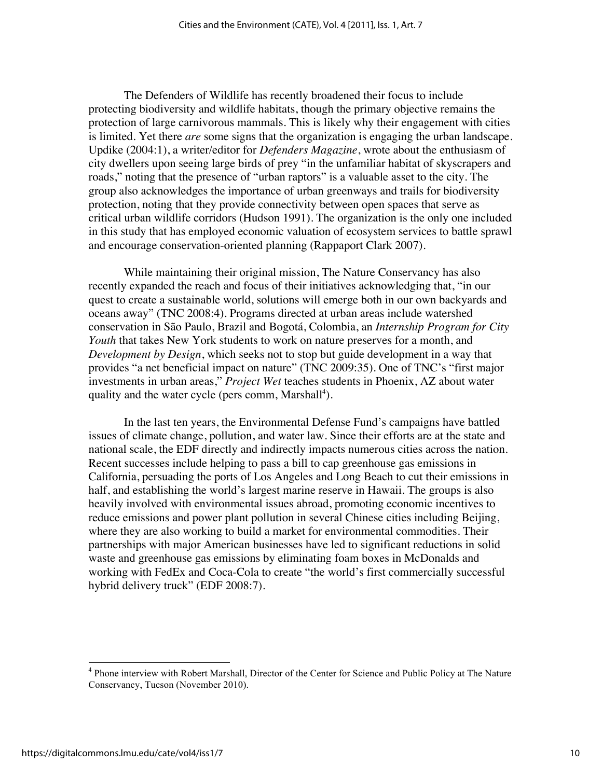The Defenders of Wildlife has recently broadened their focus to include protecting biodiversity and wildlife habitats, though the primary objective remains the protection of large carnivorous mammals. This is likely why their engagement with cities is limited. Yet there *are* some signs that the organization is engaging the urban landscape. Updike (2004:1), a writer/editor for *Defenders Magazine*, wrote about the enthusiasm of city dwellers upon seeing large birds of prey "in the unfamiliar habitat of skyscrapers and roads," noting that the presence of "urban raptors" is a valuable asset to the city. The group also acknowledges the importance of urban greenways and trails for biodiversity protection, noting that they provide connectivity between open spaces that serve as critical urban wildlife corridors (Hudson 1991). The organization is the only one included in this study that has employed economic valuation of ecosystem services to battle sprawl and encourage conservation-oriented planning (Rappaport Clark 2007).

While maintaining their original mission, The Nature Conservancy has also recently expanded the reach and focus of their initiatives acknowledging that, "in our quest to create a sustainable world, solutions will emerge both in our own backyards and oceans away" (TNC 2008:4). Programs directed at urban areas include watershed conservation in São Paulo, Brazil and Bogotá, Colombia, an *Internship Program for City Youth* that takes New York students to work on nature preserves for a month, and *Development by Design*, which seeks not to stop but guide development in a way that provides "a net beneficial impact on nature" (TNC 2009:35). One of TNC's "first major investments in urban areas," *Project Wet* teaches students in Phoenix, AZ about water quality and the water cycle (pers comm, Marshall<sup>4</sup>).

In the last ten years, the Environmental Defense Fund's campaigns have battled issues of climate change, pollution, and water law. Since their efforts are at the state and national scale, the EDF directly and indirectly impacts numerous cities across the nation. Recent successes include helping to pass a bill to cap greenhouse gas emissions in California, persuading the ports of Los Angeles and Long Beach to cut their emissions in half, and establishing the world's largest marine reserve in Hawaii. The groups is also heavily involved with environmental issues abroad, promoting economic incentives to reduce emissions and power plant pollution in several Chinese cities including Beijing, where they are also working to build a market for environmental commodities. Their partnerships with major American businesses have led to significant reductions in solid waste and greenhouse gas emissions by eliminating foam boxes in McDonalds and working with FedEx and Coca-Cola to create "the world's first commercially successful hybrid delivery truck" (EDF 2008:7).

<sup>&</sup>lt;sup>4</sup> Phone interview with Robert Marshall, Director of the Center for Science and Public Policy at The Nature Conservancy, Tucson (November 2010).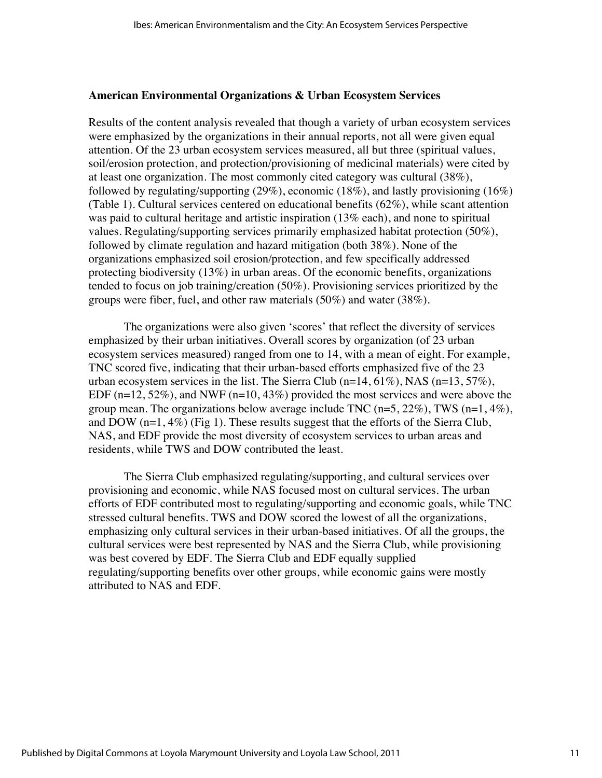#### **American Environmental Organizations & Urban Ecosystem Services**

Results of the content analysis revealed that though a variety of urban ecosystem services were emphasized by the organizations in their annual reports, not all were given equal attention. Of the 23 urban ecosystem services measured, all but three (spiritual values, soil/erosion protection, and protection/provisioning of medicinal materials) were cited by at least one organization. The most commonly cited category was cultural (38%), followed by regulating/supporting (29%), economic (18%), and lastly provisioning (16%) (Table 1). Cultural services centered on educational benefits (62%), while scant attention was paid to cultural heritage and artistic inspiration (13% each), and none to spiritual values. Regulating/supporting services primarily emphasized habitat protection (50%), followed by climate regulation and hazard mitigation (both 38%). None of the organizations emphasized soil erosion/protection, and few specifically addressed protecting biodiversity (13%) in urban areas. Of the economic benefits, organizations tended to focus on job training/creation (50%). Provisioning services prioritized by the groups were fiber, fuel, and other raw materials (50%) and water (38%).

The organizations were also given 'scores' that reflect the diversity of services emphasized by their urban initiatives. Overall scores by organization (of 23 urban ecosystem services measured) ranged from one to 14, with a mean of eight. For example, TNC scored five, indicating that their urban-based efforts emphasized five of the 23 urban ecosystem services in the list. The Sierra Club  $(n=14, 61\%)$ , NAS  $(n=13, 57\%)$ , EDF  $(n=12, 52\%)$ , and NWF  $(n=10, 43\%)$  provided the most services and were above the group mean. The organizations below average include TNC  $(n=5, 22\%)$ , TWS  $(n=1, 4\%)$ , and DOW  $(n=1, 4\%)$  (Fig 1). These results suggest that the efforts of the Sierra Club, NAS, and EDF provide the most diversity of ecosystem services to urban areas and residents, while TWS and DOW contributed the least.

The Sierra Club emphasized regulating/supporting, and cultural services over provisioning and economic, while NAS focused most on cultural services. The urban efforts of EDF contributed most to regulating/supporting and economic goals, while TNC stressed cultural benefits. TWS and DOW scored the lowest of all the organizations, emphasizing only cultural services in their urban-based initiatives. Of all the groups, the cultural services were best represented by NAS and the Sierra Club, while provisioning was best covered by EDF. The Sierra Club and EDF equally supplied regulating/supporting benefits over other groups, while economic gains were mostly attributed to NAS and EDF.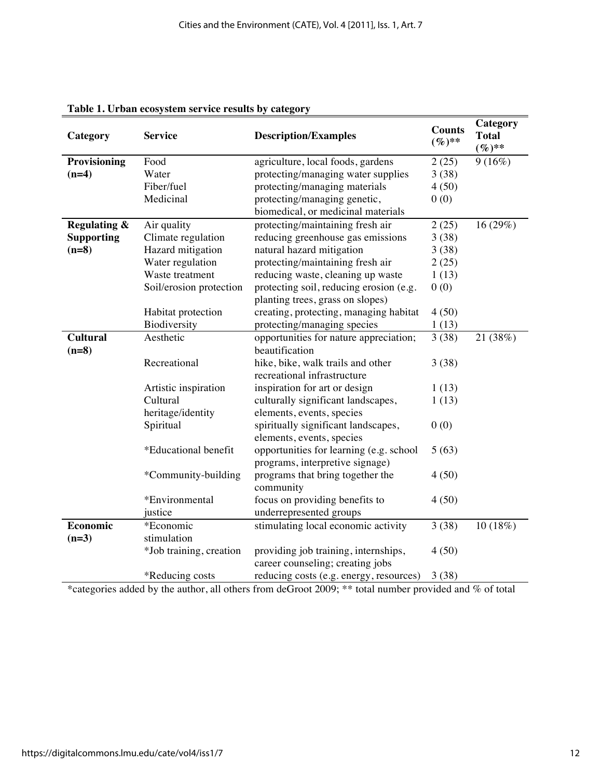| Category                | <b>Service</b>          | <b>Description/Examples</b>             | <b>Counts</b><br>$(\%)^{**}$ | Category<br><b>Total</b><br>$(\%)^{**}$ |
|-------------------------|-------------------------|-----------------------------------------|------------------------------|-----------------------------------------|
| Provisioning            | Food                    | agriculture, local foods, gardens       | 2(25)                        | 9(16%)                                  |
| $(n=4)$                 | Water                   | protecting/managing water supplies      | 3(38)                        |                                         |
|                         | Fiber/fuel              | protecting/managing materials           | 4(50)                        |                                         |
|                         | Medicinal               | protecting/managing genetic,            | 0(0)                         |                                         |
|                         |                         | biomedical, or medicinal materials      |                              |                                         |
| <b>Regulating &amp;</b> | Air quality             | protecting/maintaining fresh air        | 2(25)                        | 16(29%)                                 |
| <b>Supporting</b>       | Climate regulation      | reducing greenhouse gas emissions       | 3(38)                        |                                         |
| $(n=8)$                 | Hazard mitigation       | natural hazard mitigation               | 3(38)                        |                                         |
|                         | Water regulation        | protecting/maintaining fresh air        | 2(25)                        |                                         |
|                         | Waste treatment         | reducing waste, cleaning up waste       | 1(13)                        |                                         |
|                         | Soil/erosion protection | protecting soil, reducing erosion (e.g. | 0(0)                         |                                         |
|                         |                         | planting trees, grass on slopes)        |                              |                                         |
|                         | Habitat protection      | creating, protecting, managing habitat  | 4(50)                        |                                         |
|                         | Biodiversity            | protecting/managing species             | 1(13)                        |                                         |
| <b>Cultural</b>         | Aesthetic               | opportunities for nature appreciation;  | 3(38)                        | 21 (38%)                                |
| $(n=8)$                 |                         | beautification                          |                              |                                         |
|                         | Recreational            | hike, bike, walk trails and other       | 3(38)                        |                                         |
|                         |                         | recreational infrastructure             |                              |                                         |
|                         | Artistic inspiration    | inspiration for art or design           | 1(13)                        |                                         |
|                         | Cultural                | culturally significant landscapes,      | 1(13)                        |                                         |
|                         | heritage/identity       | elements, events, species               |                              |                                         |
|                         | Spiritual               | spiritually significant landscapes,     | 0(0)                         |                                         |
|                         |                         | elements, events, species               |                              |                                         |
|                         | *Educational benefit    | opportunities for learning (e.g. school | 5(63)                        |                                         |
|                         |                         | programs, interpretive signage)         |                              |                                         |
|                         | *Community-building     | programs that bring together the        | 4(50)                        |                                         |
|                         |                         | community                               |                              |                                         |
|                         | *Environmental          | focus on providing benefits to          | 4(50)                        |                                         |
|                         | justice                 | underrepresented groups                 |                              |                                         |
| Economic                | *Economic               | stimulating local economic activity     | 3(38)                        | 10 (18%)                                |
| $(n=3)$                 | stimulation             |                                         |                              |                                         |
|                         | *Job training, creation | providing job training, internships,    | 4(50)                        |                                         |
|                         |                         | career counseling; creating jobs        |                              |                                         |
|                         | *Reducing costs         | reducing costs (e.g. energy, resources) | 3(38)                        |                                         |

#### **Table 1. Urban ecosystem service results by category**

\*categories added by the author, all others from deGroot 2009; \*\* total number provided and % of total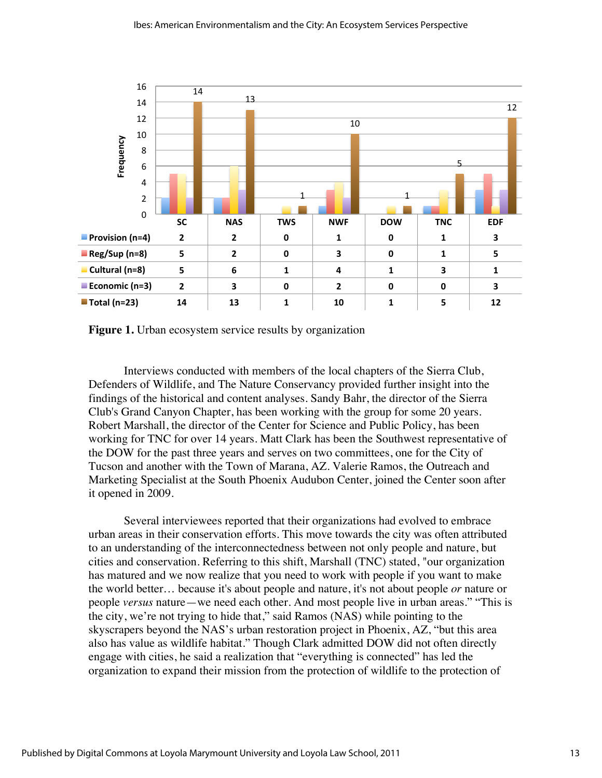

**Figure 1.** Urban ecosystem service results by organization

Interviews conducted with members of the local chapters of the Sierra Club, Defenders of Wildlife, and The Nature Conservancy provided further insight into the findings of the historical and content analyses. Sandy Bahr, the director of the Sierra Club's Grand Canyon Chapter, has been working with the group for some 20 years. Robert Marshall, the director of the Center for Science and Public Policy, has been working for TNC for over 14 years. Matt Clark has been the Southwest representative of the DOW for the past three years and serves on two committees, one for the City of Tucson and another with the Town of Marana, AZ. Valerie Ramos, the Outreach and Marketing Specialist at the South Phoenix Audubon Center, joined the Center soon after it opened in 2009.

Several interviewees reported that their organizations had evolved to embrace urban areas in their conservation efforts. This move towards the city was often attributed to an understanding of the interconnectedness between not only people and nature, but cities and conservation. Referring to this shift, Marshall (TNC) stated, "our organization has matured and we now realize that you need to work with people if you want to make the world better… because it's about people and nature, it's not about people *or* nature or people *versus* nature—we need each other. And most people live in urban areas." "This is the city, we're not trying to hide that," said Ramos (NAS) while pointing to the skyscrapers beyond the NAS's urban restoration project in Phoenix, AZ, "but this area also has value as wildlife habitat." Though Clark admitted DOW did not often directly engage with cities, he said a realization that "everything is connected" has led the organization to expand their mission from the protection of wildlife to the protection of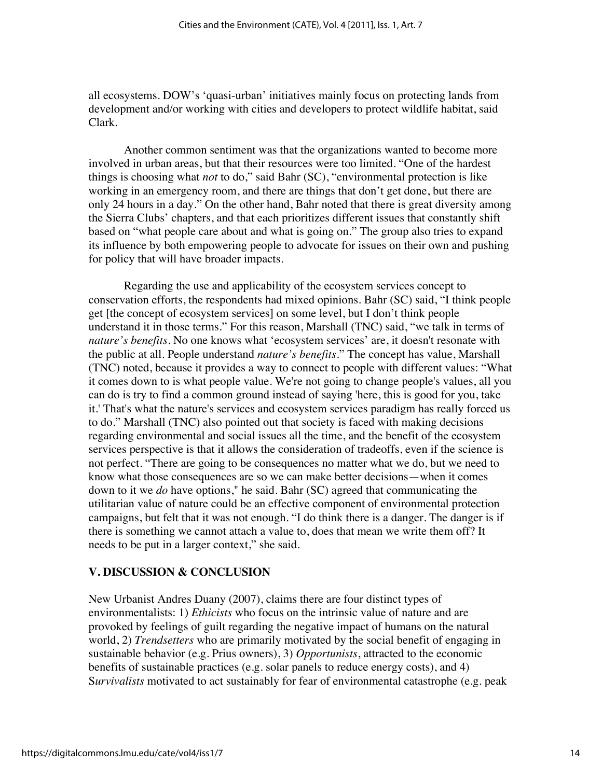all ecosystems. DOW's 'quasi-urban' initiatives mainly focus on protecting lands from development and/or working with cities and developers to protect wildlife habitat, said Clark.

Another common sentiment was that the organizations wanted to become more involved in urban areas, but that their resources were too limited. "One of the hardest things is choosing what *not* to do," said Bahr (SC), "environmental protection is like working in an emergency room, and there are things that don't get done, but there are only 24 hours in a day." On the other hand, Bahr noted that there is great diversity among the Sierra Clubs' chapters, and that each prioritizes different issues that constantly shift based on "what people care about and what is going on." The group also tries to expand its influence by both empowering people to advocate for issues on their own and pushing for policy that will have broader impacts.

Regarding the use and applicability of the ecosystem services concept to conservation efforts, the respondents had mixed opinions. Bahr (SC) said, "I think people get [the concept of ecosystem services] on some level, but I don't think people understand it in those terms." For this reason, Marshall (TNC) said, "we talk in terms of *nature's benefits*. No one knows what 'ecosystem services' are, it doesn't resonate with the public at all. People understand *nature's benefits.*" The concept has value, Marshall (TNC) noted, because it provides a way to connect to people with different values: "What it comes down to is what people value. We're not going to change people's values, all you can do is try to find a common ground instead of saying 'here, this is good for you, take it.' That's what the nature's services and ecosystem services paradigm has really forced us to do." Marshall (TNC) also pointed out that society is faced with making decisions regarding environmental and social issues all the time, and the benefit of the ecosystem services perspective is that it allows the consideration of tradeoffs, even if the science is not perfect. "There are going to be consequences no matter what we do, but we need to know what those consequences are so we can make better decisions—when it comes down to it we *do* have options," he said. Bahr (SC) agreed that communicating the utilitarian value of nature could be an effective component of environmental protection campaigns, but felt that it was not enough. "I do think there is a danger. The danger is if there is something we cannot attach a value to, does that mean we write them off? It needs to be put in a larger context," she said.

# **V. DISCUSSION & CONCLUSION**

New Urbanist Andres Duany (2007), claims there are four distinct types of environmentalists: 1) *Ethicists* who focus on the intrinsic value of nature and are provoked by feelings of guilt regarding the negative impact of humans on the natural world, 2) *Trendsetters* who are primarily motivated by the social benefit of engaging in sustainable behavior (e.g. Prius owners), 3) *Opportunists*, attracted to the economic benefits of sustainable practices (e.g. solar panels to reduce energy costs), and 4) S*urvivalists* motivated to act sustainably for fear of environmental catastrophe (e.g. peak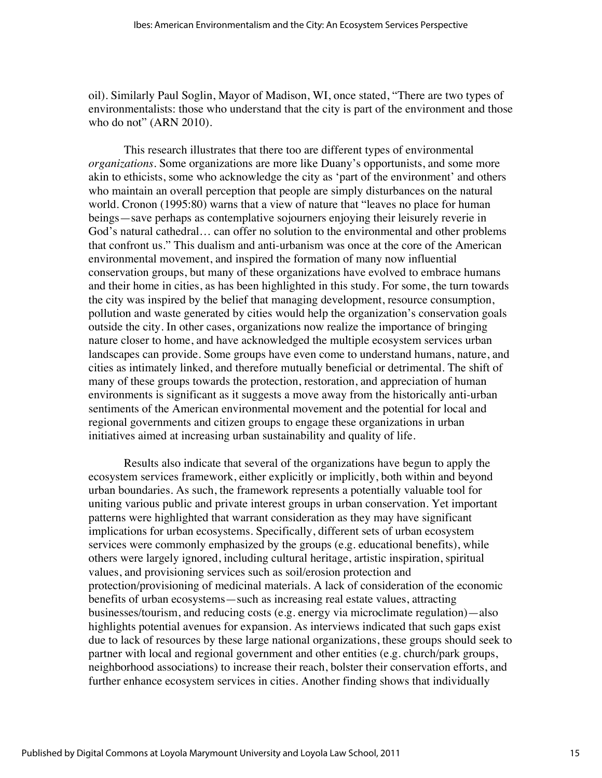oil). Similarly Paul Soglin, Mayor of Madison, WI, once stated, "There are two types of environmentalists: those who understand that the city is part of the environment and those who do not" (ARN 2010).

This research illustrates that there too are different types of environmental *organizations*. Some organizations are more like Duany's opportunists, and some more akin to ethicists, some who acknowledge the city as 'part of the environment' and others who maintain an overall perception that people are simply disturbances on the natural world. Cronon (1995:80) warns that a view of nature that "leaves no place for human beings—save perhaps as contemplative sojourners enjoying their leisurely reverie in God's natural cathedral… can offer no solution to the environmental and other problems that confront us." This dualism and anti-urbanism was once at the core of the American environmental movement, and inspired the formation of many now influential conservation groups, but many of these organizations have evolved to embrace humans and their home in cities, as has been highlighted in this study. For some, the turn towards the city was inspired by the belief that managing development, resource consumption, pollution and waste generated by cities would help the organization's conservation goals outside the city. In other cases, organizations now realize the importance of bringing nature closer to home, and have acknowledged the multiple ecosystem services urban landscapes can provide. Some groups have even come to understand humans, nature, and cities as intimately linked, and therefore mutually beneficial or detrimental. The shift of many of these groups towards the protection, restoration, and appreciation of human environments is significant as it suggests a move away from the historically anti-urban sentiments of the American environmental movement and the potential for local and regional governments and citizen groups to engage these organizations in urban initiatives aimed at increasing urban sustainability and quality of life.

Results also indicate that several of the organizations have begun to apply the ecosystem services framework, either explicitly or implicitly, both within and beyond urban boundaries. As such, the framework represents a potentially valuable tool for uniting various public and private interest groups in urban conservation. Yet important patterns were highlighted that warrant consideration as they may have significant implications for urban ecosystems. Specifically, different sets of urban ecosystem services were commonly emphasized by the groups (e.g. educational benefits), while others were largely ignored, including cultural heritage, artistic inspiration, spiritual values, and provisioning services such as soil/erosion protection and protection/provisioning of medicinal materials. A lack of consideration of the economic benefits of urban ecosystems—such as increasing real estate values, attracting businesses/tourism, and reducing costs (e.g. energy via microclimate regulation)—also highlights potential avenues for expansion. As interviews indicated that such gaps exist due to lack of resources by these large national organizations, these groups should seek to partner with local and regional government and other entities (e.g. church/park groups, neighborhood associations) to increase their reach, bolster their conservation efforts, and further enhance ecosystem services in cities. Another finding shows that individually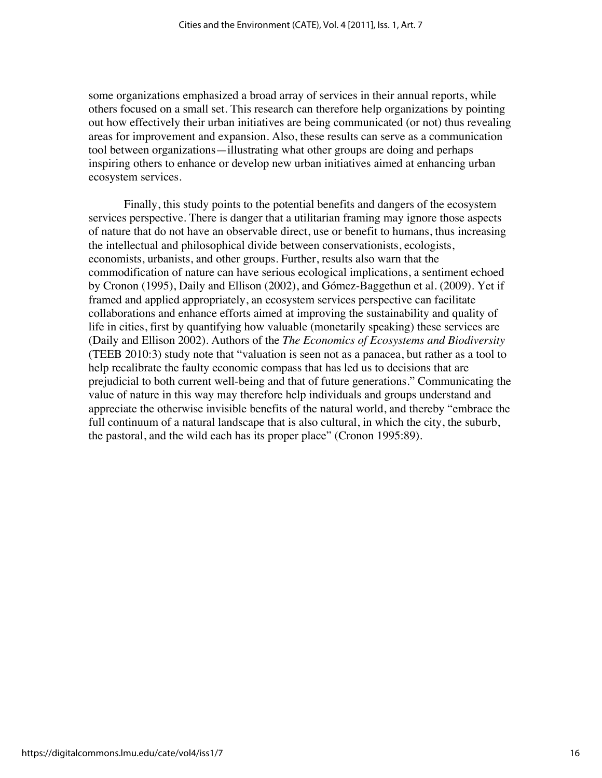some organizations emphasized a broad array of services in their annual reports, while others focused on a small set. This research can therefore help organizations by pointing out how effectively their urban initiatives are being communicated (or not) thus revealing areas for improvement and expansion. Also, these results can serve as a communication tool between organizations—illustrating what other groups are doing and perhaps inspiring others to enhance or develop new urban initiatives aimed at enhancing urban ecosystem services.

Finally, this study points to the potential benefits and dangers of the ecosystem services perspective. There is danger that a utilitarian framing may ignore those aspects of nature that do not have an observable direct, use or benefit to humans, thus increasing the intellectual and philosophical divide between conservationists, ecologists, economists, urbanists, and other groups. Further, results also warn that the commodification of nature can have serious ecological implications, a sentiment echoed by Cronon (1995), Daily and Ellison (2002), and Gómez-Baggethun et al. (2009). Yet if framed and applied appropriately, an ecosystem services perspective can facilitate collaborations and enhance efforts aimed at improving the sustainability and quality of life in cities, first by quantifying how valuable (monetarily speaking) these services are (Daily and Ellison 2002). Authors of the *The Economics of Ecosystems and Biodiversity* (TEEB 2010:3) study note that "valuation is seen not as a panacea, but rather as a tool to help recalibrate the faulty economic compass that has led us to decisions that are prejudicial to both current well-being and that of future generations." Communicating the value of nature in this way may therefore help individuals and groups understand and appreciate the otherwise invisible benefits of the natural world, and thereby "embrace the full continuum of a natural landscape that is also cultural, in which the city, the suburb, the pastoral, and the wild each has its proper place" (Cronon 1995:89).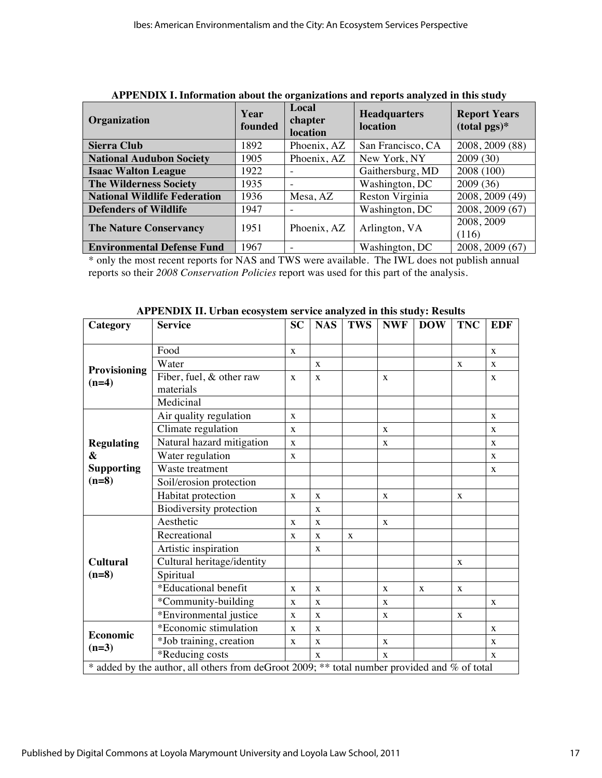| Organization                        | Year<br>founded | Local<br>chapter<br>location | <b>Headquarters</b><br>location | <b>Report Years</b><br>$(total pgs)*$ |  |
|-------------------------------------|-----------------|------------------------------|---------------------------------|---------------------------------------|--|
| <b>Sierra Club</b>                  | 1892            | Phoenix, AZ                  | San Francisco, CA               | 2008, 2009 (88)                       |  |
| <b>National Audubon Society</b>     | 1905            | Phoenix, AZ                  | New York, NY                    | 2009(30)                              |  |
| <b>Isaac Walton League</b>          | 1922            | ۰                            | Gaithersburg, MD                | 2008 (100)                            |  |
| <b>The Wilderness Society</b>       | 1935            | ۰                            | Washington, DC                  | 2009(36)                              |  |
| <b>National Wildlife Federation</b> | 1936            | Mesa, AZ                     | Reston Virginia                 | 2008, 2009 (49)                       |  |
| <b>Defenders of Wildlife</b>        | 1947            | ۰                            | Washington, DC                  | 2008, 2009 (67)                       |  |
| <b>The Nature Conservancy</b>       | 1951            | Phoenix, AZ                  | Arlington, VA                   | 2008, 2009<br>(116)                   |  |
| <b>Environmental Defense Fund</b>   | 1967            | $\overline{\phantom{a}}$     | Washington, DC                  | 2008, 2009 (67)                       |  |

**APPENDIX I. Information about the organizations and reports analyzed in this study**

\* only the most recent reports for NAS and TWS were available. The IWL does not publish annual reports so their *2008 Conservation Policies* report was used for this part of the analysis.

| Category                                                                                     | <b>Service</b>                 | <b>SC</b>    | <b>NAS</b>  | <b>TWS</b> | <b>NWF</b>   | <b>DOW</b> | <b>TNC</b> | <b>EDF</b>   |
|----------------------------------------------------------------------------------------------|--------------------------------|--------------|-------------|------------|--------------|------------|------------|--------------|
|                                                                                              | Food                           |              |             |            |              |            |            |              |
|                                                                                              |                                | X            |             |            |              |            |            | X            |
| Provisioning                                                                                 | Water                          |              | X           |            |              |            | X          | X            |
| $(n=4)$                                                                                      | Fiber, fuel, & other raw       | $\mathbf{X}$ | X           |            | $\mathbf{X}$ |            |            | X            |
|                                                                                              | materials                      |              |             |            |              |            |            |              |
|                                                                                              | Medicinal                      |              |             |            |              |            |            |              |
| <b>Regulating</b><br>$\boldsymbol{\alpha}$<br><b>Supporting</b>                              | Air quality regulation         | $\mathbf{x}$ |             |            |              |            |            | $\mathbf{x}$ |
|                                                                                              | Climate regulation             | $\mathbf{X}$ |             |            | $\mathbf{X}$ |            |            | X            |
|                                                                                              | Natural hazard mitigation      | X            |             |            | X            |            |            | X            |
|                                                                                              | Water regulation               | X            |             |            |              |            |            | X            |
|                                                                                              | Waste treatment                |              |             |            |              |            |            | X            |
| $(n=8)$                                                                                      | Soil/erosion protection        |              |             |            |              |            |            |              |
|                                                                                              | Habitat protection             | X            | $\mathbf X$ |            | $\mathbf{X}$ |            | X          |              |
|                                                                                              | <b>Biodiversity protection</b> |              | X           |            |              |            |            |              |
| <b>Cultural</b><br>$(n=8)$                                                                   | Aesthetic                      | X            | $\mathbf X$ |            | $\mathbf{X}$ |            |            |              |
|                                                                                              | Recreational                   | X            | X           | X          |              |            |            |              |
|                                                                                              | Artistic inspiration           |              | X           |            |              |            |            |              |
|                                                                                              | Cultural heritage/identity     |              |             |            |              |            | X          |              |
|                                                                                              | Spiritual                      |              |             |            |              |            |            |              |
|                                                                                              | *Educational benefit           | X            | X           |            | $\mathbf{X}$ | X          | X          |              |
|                                                                                              | *Community-building            | $\mathbf X$  | $\mathbf X$ |            | $\mathbf{X}$ |            |            | X            |
|                                                                                              | *Environmental justice         | X            | X           |            | X            |            | X          |              |
| Economic<br>$(n=3)$                                                                          | *Economic stimulation          | X            | X           |            |              |            |            | X            |
|                                                                                              | *Job training, creation        | X            | X           |            | $\mathbf{X}$ |            |            | X            |
|                                                                                              | *Reducing costs                |              | X           |            | $\mathbf{x}$ |            |            | X            |
| * added by the author, all others from deGroot 2009; ** total number provided and % of total |                                |              |             |            |              |            |            |              |

**APPENDIX II. Urban ecosystem service analyzed in this study: Results**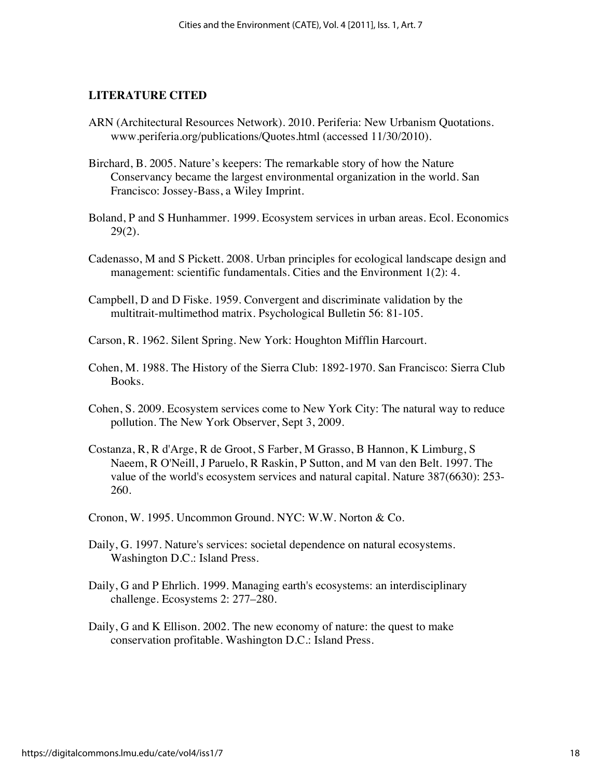#### **LITERATURE CITED**

- ARN (Architectural Resources Network). 2010. Periferia: New Urbanism Quotations. www.periferia.org/publications/Quotes.html (accessed 11/30/2010).
- Birchard, B. 2005. Nature's keepers: The remarkable story of how the Nature Conservancy became the largest environmental organization in the world. San Francisco: Jossey-Bass, a Wiley Imprint.
- Boland, P and S Hunhammer. 1999. Ecosystem services in urban areas. Ecol. Economics 29(2).
- Cadenasso, M and S Pickett. 2008. Urban principles for ecological landscape design and management: scientific fundamentals. Cities and the Environment 1(2): 4.
- Campbell, D and D Fiske. 1959. Convergent and discriminate validation by the multitrait-multimethod matrix. Psychological Bulletin 56: 81-105.
- Carson, R. 1962. Silent Spring. New York: Houghton Mifflin Harcourt.
- Cohen, M. 1988. The History of the Sierra Club: 1892-1970. San Francisco: Sierra Club Books.
- Cohen, S. 2009. Ecosystem services come to New York City: The natural way to reduce pollution. The New York Observer, Sept 3, 2009.
- Costanza, R, R d'Arge, R de Groot, S Farber, M Grasso, B Hannon, K Limburg, S Naeem, R O'Neill, J Paruelo, R Raskin, P Sutton, and M van den Belt. 1997. The value of the world's ecosystem services and natural capital. Nature 387(6630): 253- 260.
- Cronon, W. 1995. Uncommon Ground. NYC: W.W. Norton & Co.
- Daily, G. 1997. Nature's services: societal dependence on natural ecosystems. Washington D.C.: Island Press.
- Daily, G and P Ehrlich. 1999. Managing earth's ecosystems: an interdisciplinary challenge. Ecosystems 2: 277–280.
- Daily, G and K Ellison. 2002. The new economy of nature: the quest to make conservation profitable. Washington D.C.: Island Press.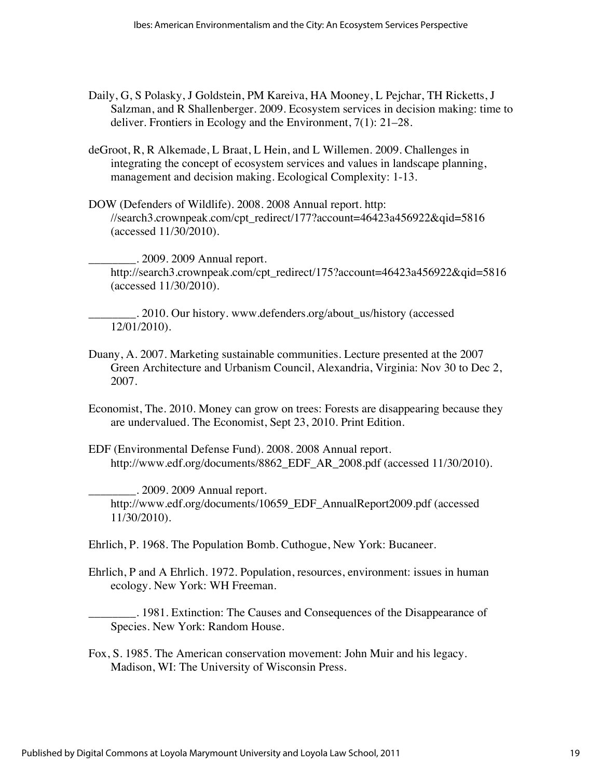- Daily, G, S Polasky, J Goldstein, PM Kareiva, HA Mooney, L Pejchar, TH Ricketts, J Salzman, and R Shallenberger. 2009. Ecosystem services in decision making: time to deliver. Frontiers in Ecology and the Environment, 7(1): 21–28.
- deGroot, R, R Alkemade, L Braat, L Hein, and L Willemen. 2009. Challenges in integrating the concept of ecosystem services and values in landscape planning, management and decision making. Ecological Complexity: 1-13.
- DOW (Defenders of Wildlife). 2008. 2008 Annual report. http: //search3.crownpeak.com/cpt\_redirect/177?account=46423a456922&qid=5816 (accessed 11/30/2010).

\_\_\_\_\_\_\_\_. 2009. 2009 Annual report. http://search3.crownpeak.com/cpt\_redirect/175?account=46423a456922&qid=5816 (accessed 11/30/2010).

\_\_\_\_\_\_\_\_. 2010. Our history. www.defenders.org/about\_us/history (accessed 12/01/2010).

- Duany, A. 2007. Marketing sustainable communities. Lecture presented at the 2007 Green Architecture and Urbanism Council, Alexandria, Virginia: Nov 30 to Dec 2, 2007.
- Economist, The. 2010. Money can grow on trees: Forests are disappearing because they are undervalued. The Economist, Sept 23, 2010. Print Edition.
- EDF (Environmental Defense Fund). 2008. 2008 Annual report. http://www.edf.org/documents/8862\_EDF\_AR\_2008.pdf (accessed 11/30/2010).

 $\ldots$  2009. 2009 Annual report. http://www.edf.org/documents/10659\_EDF\_AnnualReport2009.pdf (accessed 11/30/2010).

Ehrlich, P. 1968. The Population Bomb. Cuthogue, New York: Bucaneer.

Ehrlich, P and A Ehrlich. 1972. Population, resources, environment: issues in human ecology. New York: WH Freeman.

\_\_\_\_\_\_\_\_. 1981. Extinction: The Causes and Consequences of the Disappearance of Species. New York: Random House.

Fox, S. 1985. The American conservation movement: John Muir and his legacy. Madison, WI: The University of Wisconsin Press.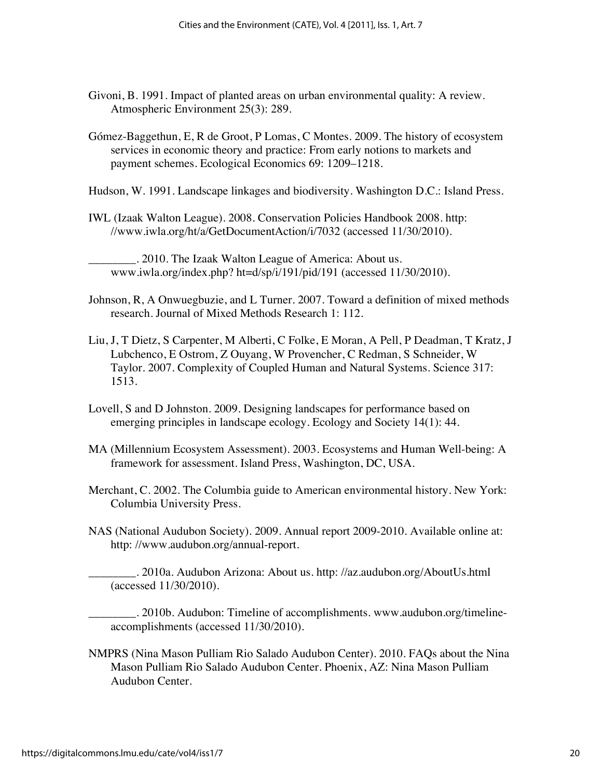- Givoni, B. 1991. Impact of planted areas on urban environmental quality: A review. Atmospheric Environment 25(3): 289.
- Gómez-Baggethun, E, R de Groot, P Lomas, C Montes. 2009. The history of ecosystem services in economic theory and practice: From early notions to markets and payment schemes. Ecological Economics 69: 1209–1218.
- Hudson, W. 1991. Landscape linkages and biodiversity. Washington D.C.: Island Press.
- IWL (Izaak Walton League). 2008. Conservation Policies Handbook 2008. http: //www.iwla.org/ht/a/GetDocumentAction/i/7032 (accessed 11/30/2010).

\_\_\_\_\_\_\_\_. 2010. The Izaak Walton League of America: About us. www.iwla.org/index.php? ht=d/sp/i/191/pid/191 (accessed 11/30/2010).

- Johnson, R, A Onwuegbuzie, and L Turner. 2007. Toward a definition of mixed methods research. Journal of Mixed Methods Research 1: 112.
- Liu, J, T Dietz, S Carpenter, M Alberti, C Folke, E Moran, A Pell, P Deadman, T Kratz, J Lubchenco, E Ostrom, Z Ouyang, W Provencher, C Redman, S Schneider, W Taylor. 2007. Complexity of Coupled Human and Natural Systems. Science 317: 1513.
- Lovell, S and D Johnston. 2009. Designing landscapes for performance based on emerging principles in landscape ecology. Ecology and Society 14(1): 44.
- MA (Millennium Ecosystem Assessment). 2003. Ecosystems and Human Well-being: A framework for assessment. Island Press, Washington, DC, USA.
- Merchant, C. 2002. The Columbia guide to American environmental history. New York: Columbia University Press.
- NAS (National Audubon Society). 2009. Annual report 2009-2010. Available online at: http: //www.audubon.org/annual-report.

\_\_\_\_\_\_\_\_. 2010a. Audubon Arizona: About us. http: //az.audubon.org/AboutUs.html (accessed 11/30/2010).

\_\_\_\_\_\_\_\_. 2010b. Audubon: Timeline of accomplishments. www.audubon.org/timelineaccomplishments (accessed 11/30/2010).

NMPRS (Nina Mason Pulliam Rio Salado Audubon Center). 2010. FAQs about the Nina Mason Pulliam Rio Salado Audubon Center. Phoenix, AZ: Nina Mason Pulliam Audubon Center.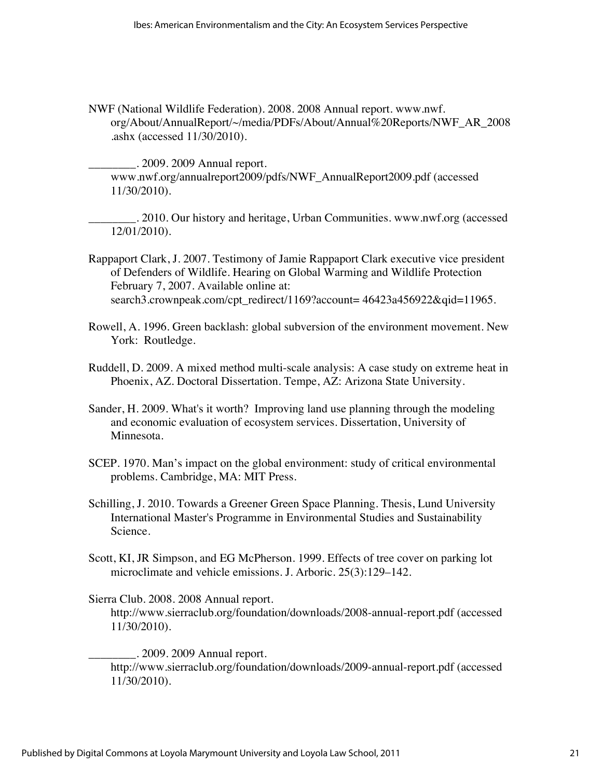NWF (National Wildlife Federation). 2008. 2008 Annual report. www.nwf. org/About/AnnualReport/~/media/PDFs/About/Annual%20Reports/NWF\_AR\_2008 .ashx (accessed 11/30/2010).

\_\_\_\_\_\_\_\_. 2009. 2009 Annual report. www.nwf.org/annualreport2009/pdfs/NWF\_AnnualReport2009.pdf (accessed 11/30/2010).

\_\_\_\_\_\_\_\_. 2010. Our history and heritage, Urban Communities. www.nwf.org (accessed 12/01/2010).

- Rappaport Clark, J. 2007. Testimony of Jamie Rappaport Clark executive vice president of Defenders of Wildlife. Hearing on Global Warming and Wildlife Protection February 7, 2007. Available online at: search3.crownpeak.com/cpt\_redirect/1169?account= 46423a456922&qid=11965.
- Rowell, A. 1996. Green backlash: global subversion of the environment movement. New York: Routledge.
- Ruddell, D. 2009. A mixed method multi-scale analysis: A case study on extreme heat in Phoenix, AZ. Doctoral Dissertation. Tempe, AZ: Arizona State University.
- Sander, H. 2009. What's it worth? Improving land use planning through the modeling and economic evaluation of ecosystem services. Dissertation, University of Minnesota.
- SCEP. 1970. Man's impact on the global environment: study of critical environmental problems. Cambridge, MA: MIT Press.
- Schilling, J. 2010. Towards a Greener Green Space Planning. Thesis, Lund University International Master's Programme in Environmental Studies and Sustainability Science.
- Scott, KI, JR Simpson, and EG McPherson. 1999. Effects of tree cover on parking lot microclimate and vehicle emissions. J. Arboric. 25(3):129–142.

Sierra Club. 2008. 2008 Annual report. http://www.sierraclub.org/foundation/downloads/2008-annual-report.pdf (accessed 11/30/2010).

\_\_\_\_\_\_\_\_. 2009. 2009 Annual report. http://www.sierraclub.org/foundation/downloads/2009-annual-report.pdf (accessed 11/30/2010).